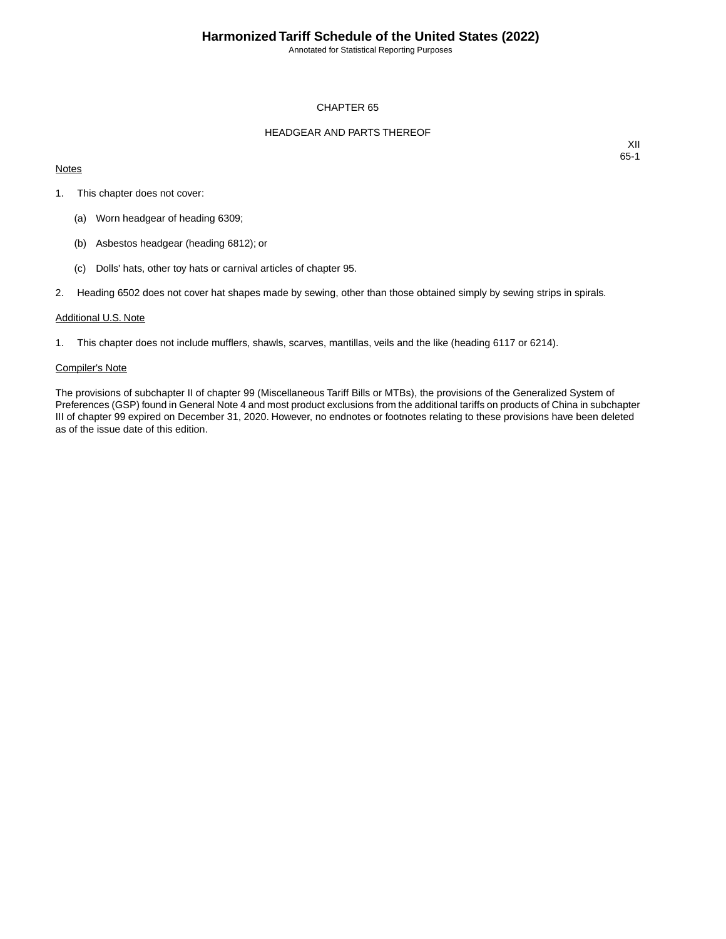Annotated for Statistical Reporting Purposes

### CHAPTER 65

### HEADGEAR AND PARTS THEREOF

### **Notes**

XII 65-1

- 1. This chapter does not cover:
	- (a) Worn headgear of heading 6309;
	- (b) Asbestos headgear (heading 6812); or
	- (c) Dolls' hats, other toy hats or carnival articles of chapter 95.
- 2. Heading 6502 does not cover hat shapes made by sewing, other than those obtained simply by sewing strips in spirals.

#### Additional U.S. Note

1. This chapter does not include mufflers, shawls, scarves, mantillas, veils and the like (heading 6117 or 6214).

#### Compiler's Note

The provisions of subchapter II of chapter 99 (Miscellaneous Tariff Bills or MTBs), the provisions of the Generalized System of Preferences (GSP) found in General Note 4 and most product exclusions from the additional tariffs on products of China in subchapter III of chapter 99 expired on December 31, 2020. However, no endnotes or footnotes relating to these provisions have been deleted as of the issue date of this edition.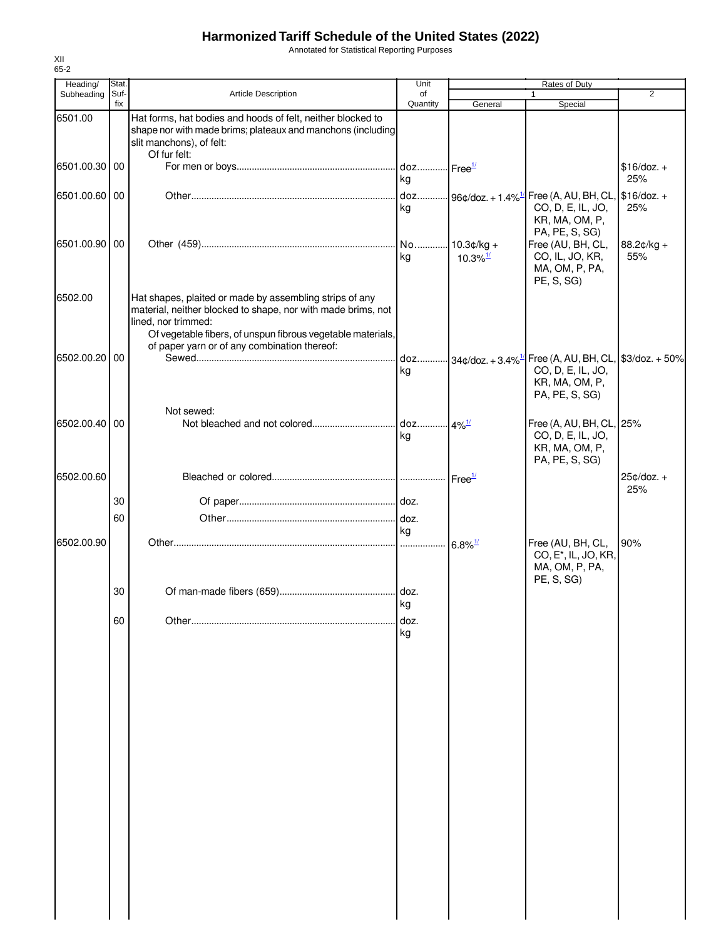Annotated for Statistical Reporting Purposes

| Heading/        | Stat.       |                                                                                                                                                                                                               | Unit           | Rates of Duty          |                                                                                                                                             |                     |
|-----------------|-------------|---------------------------------------------------------------------------------------------------------------------------------------------------------------------------------------------------------------|----------------|------------------------|---------------------------------------------------------------------------------------------------------------------------------------------|---------------------|
| Subheading      | Suf-<br>fix | <b>Article Description</b>                                                                                                                                                                                    | of<br>Quantity | General                | $\mathbf{1}$<br>Special                                                                                                                     | 2                   |
| 6501.00         |             | Hat forms, hat bodies and hoods of felt, neither blocked to<br>shape nor with made brims; plateaux and manchons (including<br>slit manchons), of felt:<br>Of fur felt:                                        |                |                        |                                                                                                                                             |                     |
| 6501.00.30 00   |             |                                                                                                                                                                                                               | kg             |                        |                                                                                                                                             | $$16/doz. +$<br>25% |
| 6501.00.60 00   |             |                                                                                                                                                                                                               | kg             |                        | . doz 96¢/doz. + 1.4% <sup>1/</sup> Free (A, AU, BH, CL, S16/doz. +<br>CO, D, E, IL, JO,<br>KR, MA, OM, P,<br>PA, PE, S, SG)                | 25%                 |
| 6501.00.90 00   |             |                                                                                                                                                                                                               | kg             | $10.3\%$ <sup>1/</sup> | Free (AU, BH, CL,<br>CO, IL, JO, KR,<br>MA, OM, P, PA,<br>PE, S, SG)                                                                        | 88.2¢/kg +<br>55%   |
| 6502.00         |             | Hat shapes, plaited or made by assembling strips of any<br>material, neither blocked to shape, nor with made brims, not<br>lined, nor trimmed:<br>Of vegetable fibers, of unspun fibrous vegetable materials, |                |                        |                                                                                                                                             |                     |
| 6502.00.20 00   |             | of paper yarn or of any combination thereof:                                                                                                                                                                  | kg             |                        | doz $34\phi/\text{doz.} + 3.4\%$ <sup>1/</sup> Free (A, AU, BH, CL, \$3/doz. + 50%<br>CO, D, E, IL, JO,<br>KR, MA, OM, P,<br>PA, PE, S, SG) |                     |
| 6502.00.40   00 |             | Not sewed:                                                                                                                                                                                                    | kg             |                        | Free (A, AU, BH, CL, 25%<br>CO, D, E, IL, JO,<br>KR, MA, OM, P,<br>PA, PE, S, SG)                                                           |                     |
| 6502.00.60      |             |                                                                                                                                                                                                               |                |                        |                                                                                                                                             | 25¢/doz. +<br>25%   |
|                 | 30          |                                                                                                                                                                                                               |                |                        |                                                                                                                                             |                     |
|                 | 60          |                                                                                                                                                                                                               |                |                        |                                                                                                                                             |                     |
| 6502.00.90      |             |                                                                                                                                                                                                               | kg             | $6.8\%$ <sup>1/</sup>  | Free (AU, BH, CL,<br>CO, E <sup>*</sup> , IL, JO, KR,<br>MA, OM, P, PA,<br>PE, S, SG)                                                       | 90%                 |
|                 | 30          |                                                                                                                                                                                                               | ka             |                        |                                                                                                                                             |                     |
|                 | 60          |                                                                                                                                                                                                               | doz.<br>kg     |                        |                                                                                                                                             |                     |
|                 |             |                                                                                                                                                                                                               |                |                        |                                                                                                                                             |                     |
|                 |             |                                                                                                                                                                                                               |                |                        |                                                                                                                                             |                     |
|                 |             |                                                                                                                                                                                                               |                |                        |                                                                                                                                             |                     |
|                 |             |                                                                                                                                                                                                               |                |                        |                                                                                                                                             |                     |
|                 |             |                                                                                                                                                                                                               |                |                        |                                                                                                                                             |                     |
|                 |             |                                                                                                                                                                                                               |                |                        |                                                                                                                                             |                     |
|                 |             |                                                                                                                                                                                                               |                |                        |                                                                                                                                             |                     |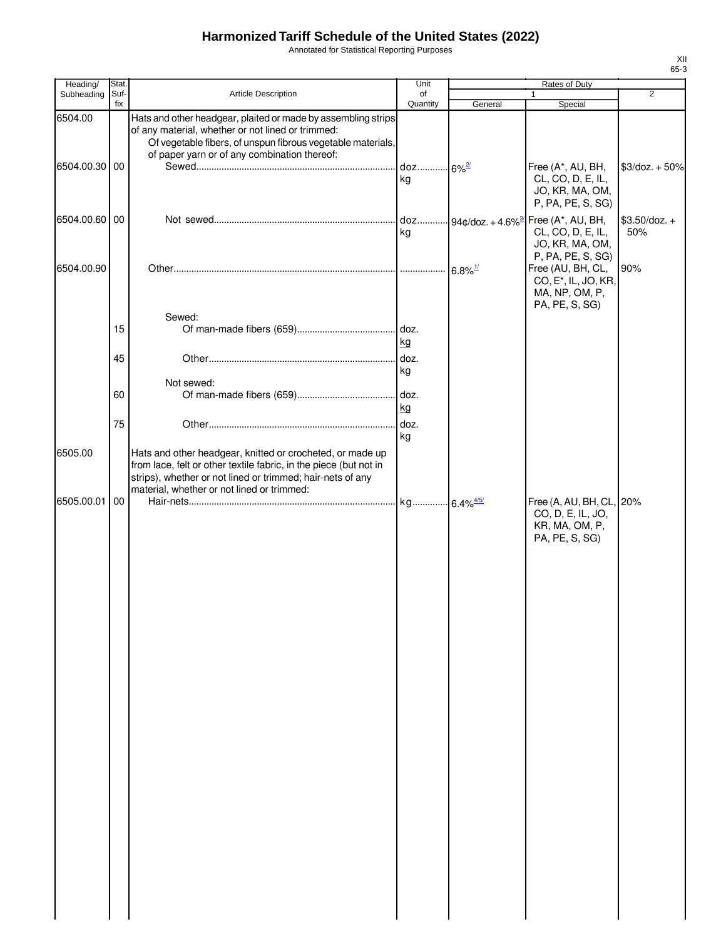Annotated for Statistical Reporting Purposes

| Heading/                 | Stat.       |                                                                                                                                                                                                                                            | Unit           |                                   | Rates of Duty                                                                                                  |                        |
|--------------------------|-------------|--------------------------------------------------------------------------------------------------------------------------------------------------------------------------------------------------------------------------------------------|----------------|-----------------------------------|----------------------------------------------------------------------------------------------------------------|------------------------|
| Subheading               | Suf-<br>fix | Article Description                                                                                                                                                                                                                        | of<br>Quantity | General                           | $\mathbf{1}$<br>Special                                                                                        | $\overline{2}$         |
| 6504.00<br>6504.00.30 00 |             | Hats and other headgear, plaited or made by assembling strips<br>of any material, whether or not lined or trimmed:<br>Of vegetable fibers, of unspun fibrous vegetable materials,<br>of paper yarn or of any combination thereof:          | doz 6%2<br>ka  |                                   | Free (A*, AU, BH,<br>CL, CO, D, E, IL,                                                                         | $$3$ /doz. + 50%       |
| 6504.00.60 00            |             |                                                                                                                                                                                                                                            | kg             | doz 94¢/doz. + 4.6% <sup>3/</sup> | JO, KR, MA, OM,<br>P, PA, PE, S, SG)<br>Free (A*, AU, BH,<br>CL, CO, D, E, IL,<br>JO, KR, MA, OM,              | $$3.50$ /doz. +<br>50% |
| 6504.00.90               |             |                                                                                                                                                                                                                                            |                |                                   | P, PA, PE, S, SG)<br>Free (AU, BH, CL,<br>CO, E <sup>*</sup> , IL, JO, KR,<br>MA, NP, OM, P,<br>PA, PE, S, SG) | 90%                    |
|                          | 15          | Sewed:                                                                                                                                                                                                                                     | kg             |                                   |                                                                                                                |                        |
|                          | 45          | Not sewed:                                                                                                                                                                                                                                 | doz.<br>kg     |                                   |                                                                                                                |                        |
|                          | 60<br>75    |                                                                                                                                                                                                                                            | kg             |                                   |                                                                                                                |                        |
| 6505.00                  |             | Hats and other headgear, knitted or crocheted, or made up<br>from lace, felt or other textile fabric, in the piece (but not in<br>strips), whether or not lined or trimmed; hair-nets of any<br>material, whether or not lined or trimmed: | kg             |                                   |                                                                                                                |                        |
| 6505.00.01               | 00          |                                                                                                                                                                                                                                            |                |                                   | Free (A, AU, BH, CL, 20%<br>CO, D, E, IL, JO,<br>KR, MA, OM, P,<br>PA, PE, S, SG)                              |                        |
|                          |             |                                                                                                                                                                                                                                            |                |                                   |                                                                                                                |                        |
|                          |             |                                                                                                                                                                                                                                            |                |                                   |                                                                                                                |                        |
|                          |             |                                                                                                                                                                                                                                            |                |                                   |                                                                                                                |                        |
|                          |             |                                                                                                                                                                                                                                            |                |                                   |                                                                                                                |                        |
|                          |             |                                                                                                                                                                                                                                            |                |                                   |                                                                                                                |                        |
|                          |             |                                                                                                                                                                                                                                            |                |                                   |                                                                                                                |                        |
|                          |             |                                                                                                                                                                                                                                            |                |                                   |                                                                                                                |                        |
|                          |             |                                                                                                                                                                                                                                            |                |                                   |                                                                                                                |                        |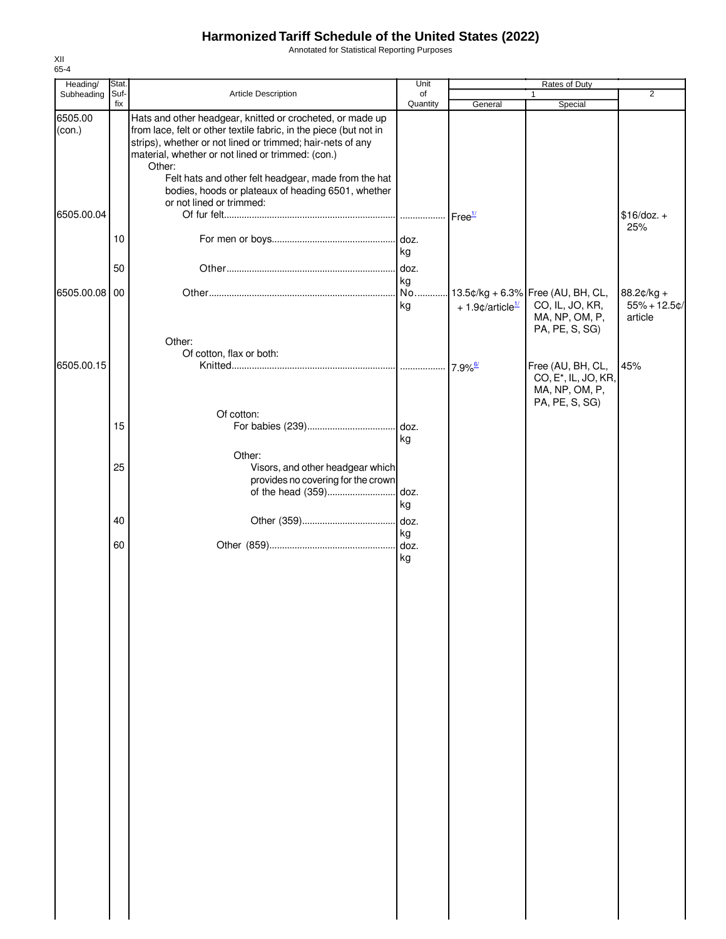Annotated for Statistical Reporting Purposes

| Heading/          | Stat. |                                                                                                                                                                                                       | Unit       | Rates of Duty                  |                                                                                           |                                          |  |
|-------------------|-------|-------------------------------------------------------------------------------------------------------------------------------------------------------------------------------------------------------|------------|--------------------------------|-------------------------------------------------------------------------------------------|------------------------------------------|--|
| Subheading        | Suf-  | Article Description                                                                                                                                                                                   | of         |                                | 1                                                                                         | $\overline{2}$                           |  |
| 6505.00<br>(con.) | fix   | Hats and other headgear, knitted or crocheted, or made up<br>from lace, felt or other textile fabric, in the piece (but not in<br>strips), whether or not lined or trimmed; hair-nets of any          | Quantity   | General                        | Special                                                                                   |                                          |  |
|                   |       | material, whether or not lined or trimmed: (con.)<br>Other:<br>Felt hats and other felt headgear, made from the hat<br>bodies, hoods or plateaux of heading 6501, whether<br>or not lined or trimmed: |            |                                |                                                                                           |                                          |  |
| 6505.00.04        |       |                                                                                                                                                                                                       |            | Free <sup>1/</sup>             |                                                                                           | $$16/doz. +$<br>25%                      |  |
|                   | 10    |                                                                                                                                                                                                       | kg         |                                |                                                                                           |                                          |  |
|                   | 50    |                                                                                                                                                                                                       | doz.<br>kg |                                |                                                                                           |                                          |  |
| 6505.00.08        | 00    |                                                                                                                                                                                                       | No<br>kg   | $+1.9$ ¢/article <sup>1/</sup> | 13.5¢/kg + 6.3% Free (AU, BH, CL,<br>CO, IL, JO, KR,<br>MA, NP, OM, P,<br>PA, PE, S, SG)  | 88.2¢/kg +<br>$55% + 12.5$ ¢/<br>article |  |
|                   |       | Other:<br>Of cotton, flax or both:                                                                                                                                                                    |            |                                |                                                                                           |                                          |  |
| 6505.00.15        |       |                                                                                                                                                                                                       |            |                                | Free (AU, BH, CL,<br>CO, E <sup>*</sup> , IL, JO, KR,<br>MA, NP, OM, P,<br>PA, PE, S, SG) | 45%                                      |  |
|                   | 15    | Of cotton:                                                                                                                                                                                            | kg         |                                |                                                                                           |                                          |  |
|                   |       | Other:                                                                                                                                                                                                |            |                                |                                                                                           |                                          |  |
|                   | 25    | Visors, and other headgear which<br>provides no covering for the crown<br>of the head (359)                                                                                                           | doz.<br>kg |                                |                                                                                           |                                          |  |
|                   | 40    |                                                                                                                                                                                                       | kg         |                                |                                                                                           |                                          |  |
|                   | 60    |                                                                                                                                                                                                       | kg         |                                |                                                                                           |                                          |  |
|                   |       |                                                                                                                                                                                                       |            |                                |                                                                                           |                                          |  |
|                   |       |                                                                                                                                                                                                       |            |                                |                                                                                           |                                          |  |
|                   |       |                                                                                                                                                                                                       |            |                                |                                                                                           |                                          |  |
|                   |       |                                                                                                                                                                                                       |            |                                |                                                                                           |                                          |  |
|                   |       |                                                                                                                                                                                                       |            |                                |                                                                                           |                                          |  |
|                   |       |                                                                                                                                                                                                       |            |                                |                                                                                           |                                          |  |
|                   |       |                                                                                                                                                                                                       |            |                                |                                                                                           |                                          |  |
|                   |       |                                                                                                                                                                                                       |            |                                |                                                                                           |                                          |  |
|                   |       |                                                                                                                                                                                                       |            |                                |                                                                                           |                                          |  |
|                   |       |                                                                                                                                                                                                       |            |                                |                                                                                           |                                          |  |
|                   |       |                                                                                                                                                                                                       |            |                                |                                                                                           |                                          |  |
|                   |       |                                                                                                                                                                                                       |            |                                |                                                                                           |                                          |  |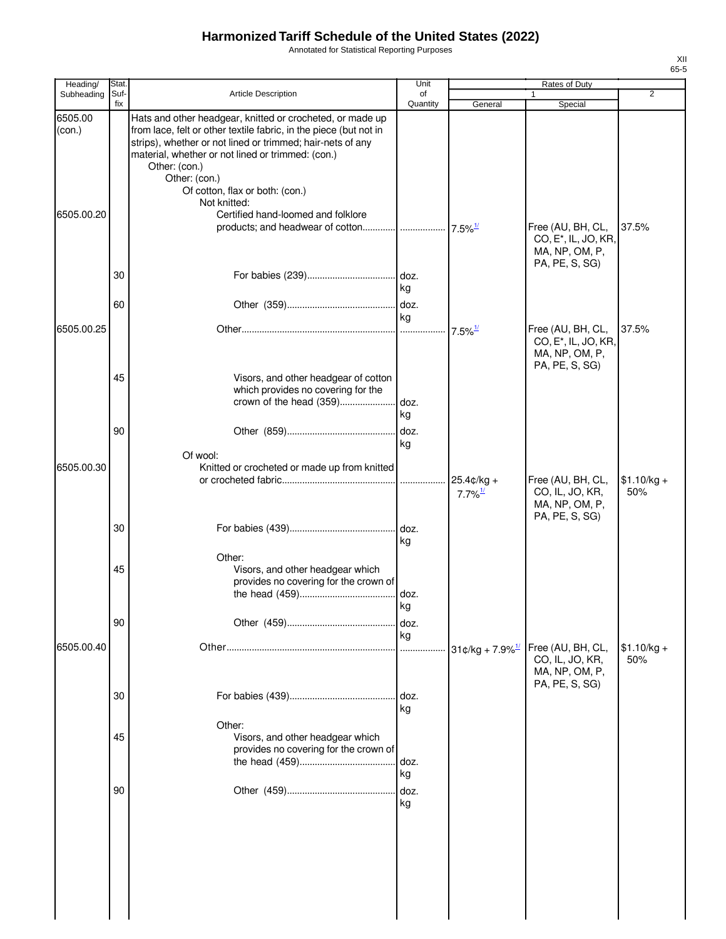Annotated for Statistical Reporting Purposes

| Heading/          | Stat.       |                                                                                                                                                                                                                                                                                                                                        | Unit           |                                        | <b>Rates of Duty</b>                                                                      |                     |
|-------------------|-------------|----------------------------------------------------------------------------------------------------------------------------------------------------------------------------------------------------------------------------------------------------------------------------------------------------------------------------------------|----------------|----------------------------------------|-------------------------------------------------------------------------------------------|---------------------|
| Subheading        | Suf-<br>fix | <b>Article Description</b>                                                                                                                                                                                                                                                                                                             | of<br>Quantity | General                                | $\mathbf{1}$<br>Special                                                                   | $\overline{2}$      |
| 6505.00<br>(con.) |             | Hats and other headgear, knitted or crocheted, or made up<br>from lace, felt or other textile fabric, in the piece (but not in<br>strips), whether or not lined or trimmed; hair-nets of any<br>material, whether or not lined or trimmed: (con.)<br>Other: (con.)<br>Other: (con.)<br>Of cotton, flax or both: (con.)<br>Not knitted: |                |                                        |                                                                                           |                     |
| 6505.00.20        |             | Certified hand-loomed and folklore                                                                                                                                                                                                                                                                                                     |                |                                        | Free (AU, BH, CL,<br>CO, E <sup>*</sup> , IL, JO, KR,<br>MA, NP, OM, P,<br>PA, PE, S, SG) | 37.5%               |
|                   | 30          |                                                                                                                                                                                                                                                                                                                                        | kg             |                                        |                                                                                           |                     |
|                   | 60          |                                                                                                                                                                                                                                                                                                                                        | kg             |                                        |                                                                                           |                     |
| 6505.00.25        |             |                                                                                                                                                                                                                                                                                                                                        |                | $7.5\%$ <sup>1/</sup>                  | Free (AU, BH, CL,<br>CO, E <sup>*</sup> , IL, JO, KR,<br>MA, NP, OM, P,<br>PA, PE, S, SG) | 37.5%               |
|                   | 45<br>90    | Visors, and other headgear of cotton<br>which provides no covering for the                                                                                                                                                                                                                                                             | kg<br>. doz.   |                                        |                                                                                           |                     |
|                   |             | Of wool:                                                                                                                                                                                                                                                                                                                               | kg             |                                        |                                                                                           |                     |
| 6505.00.30        |             | Knitted or crocheted or made up from knitted                                                                                                                                                                                                                                                                                           | .              | $25.4$ ¢/kg +<br>$7.7\%$ <sup>1/</sup> | Free (AU, BH, CL,<br>CO, IL, JO, KR,<br>MA, NP, OM, P,<br>PA, PE, S, SG)                  | $$1.10/kg +$<br>50% |
|                   | 30          |                                                                                                                                                                                                                                                                                                                                        | kg             |                                        |                                                                                           |                     |
|                   | 45          | Other:<br>Visors, and other headgear which<br>provides no covering for the crown of                                                                                                                                                                                                                                                    | kg             |                                        |                                                                                           |                     |
|                   | 90          |                                                                                                                                                                                                                                                                                                                                        | doz.<br>kg     |                                        |                                                                                           |                     |
| 6505.00.40        |             |                                                                                                                                                                                                                                                                                                                                        |                | $31¢/kg + 7.9\%$ <sup>1/</sup>         | Free (AU, BH, CL,<br>CO, IL, JO, KR,<br>MA, NP, OM, P,<br>PA, PE, S, SG)                  | $$1.10/kg +$<br>50% |
|                   | 30          |                                                                                                                                                                                                                                                                                                                                        | doz.<br>kg     |                                        |                                                                                           |                     |
|                   | 45          | Other:<br>Visors, and other headgear which<br>provides no covering for the crown of                                                                                                                                                                                                                                                    | doz.<br>kg     |                                        |                                                                                           |                     |
|                   | 90          |                                                                                                                                                                                                                                                                                                                                        | doz.<br>kg     |                                        |                                                                                           |                     |
|                   |             |                                                                                                                                                                                                                                                                                                                                        |                |                                        |                                                                                           |                     |
|                   |             |                                                                                                                                                                                                                                                                                                                                        |                |                                        |                                                                                           |                     |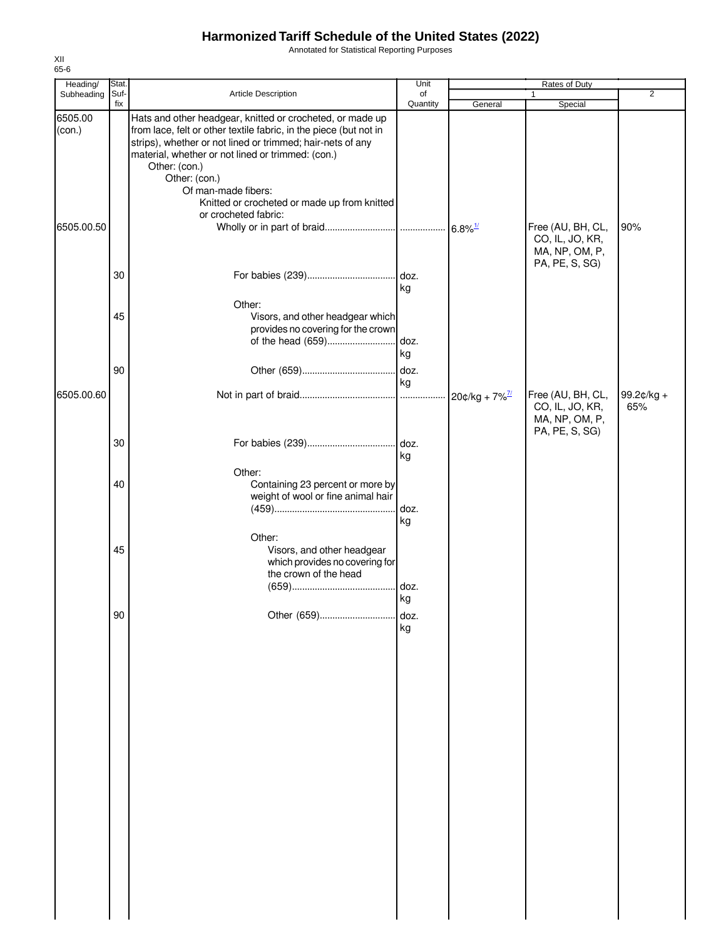Annotated for Statistical Reporting Purposes

| Heading/<br>Stat.  |                                                                                                                                                                                                                                                                                                                                                                                    | Unit           |                              | Rates of Duty                                                            |                   |
|--------------------|------------------------------------------------------------------------------------------------------------------------------------------------------------------------------------------------------------------------------------------------------------------------------------------------------------------------------------------------------------------------------------|----------------|------------------------------|--------------------------------------------------------------------------|-------------------|
| Subheading<br>Suf- | Article Description                                                                                                                                                                                                                                                                                                                                                                | of<br>Quantity | General                      | 1<br>Special                                                             | 2                 |
| 6505.00<br>(con.)  | Hats and other headgear, knitted or crocheted, or made up<br>from lace, felt or other textile fabric, in the piece (but not in<br>strips), whether or not lined or trimmed; hair-nets of any<br>material, whether or not lined or trimmed: (con.)<br>Other: (con.)<br>Other: (con.)<br>Of man-made fibers:<br>Knitted or crocheted or made up from knitted<br>or crocheted fabric: |                |                              |                                                                          |                   |
| 6505.00.50         |                                                                                                                                                                                                                                                                                                                                                                                    |                |                              | Free (AU, BH, CL,<br>CO, IL, JO, KR,<br>MA, NP, OM, P,<br>PA, PE, S, SG) | 90%               |
|                    |                                                                                                                                                                                                                                                                                                                                                                                    | kg             |                              |                                                                          |                   |
|                    | Other:<br>Visors, and other headgear which<br>provides no covering for the crown<br>of the head (659)                                                                                                                                                                                                                                                                              | doz.<br>kg     |                              |                                                                          |                   |
| 6505.00.60         |                                                                                                                                                                                                                                                                                                                                                                                    | doz.<br>kg     | $20¢/kg + 7\%^{\frac{7}{2}}$ | Free (AU, BH, CL,<br>CO, IL, JO, KR,<br>MA, NP, OM, P,                   | 99.2¢/kg +<br>65% |
|                    |                                                                                                                                                                                                                                                                                                                                                                                    | kg             |                              | PA, PE, S, SG)                                                           |                   |
|                    | Other:<br>Containing 23 percent or more by<br>weight of wool or fine animal hair                                                                                                                                                                                                                                                                                                   | doz.<br>kg     |                              |                                                                          |                   |
|                    | Other:<br>Visors, and other headgear<br>which provides no covering for<br>the crown of the head                                                                                                                                                                                                                                                                                    |                |                              |                                                                          |                   |
|                    | Other (659)                                                                                                                                                                                                                                                                                                                                                                        | doz.<br>kg     |                              |                                                                          |                   |
|                    |                                                                                                                                                                                                                                                                                                                                                                                    | kg             |                              |                                                                          |                   |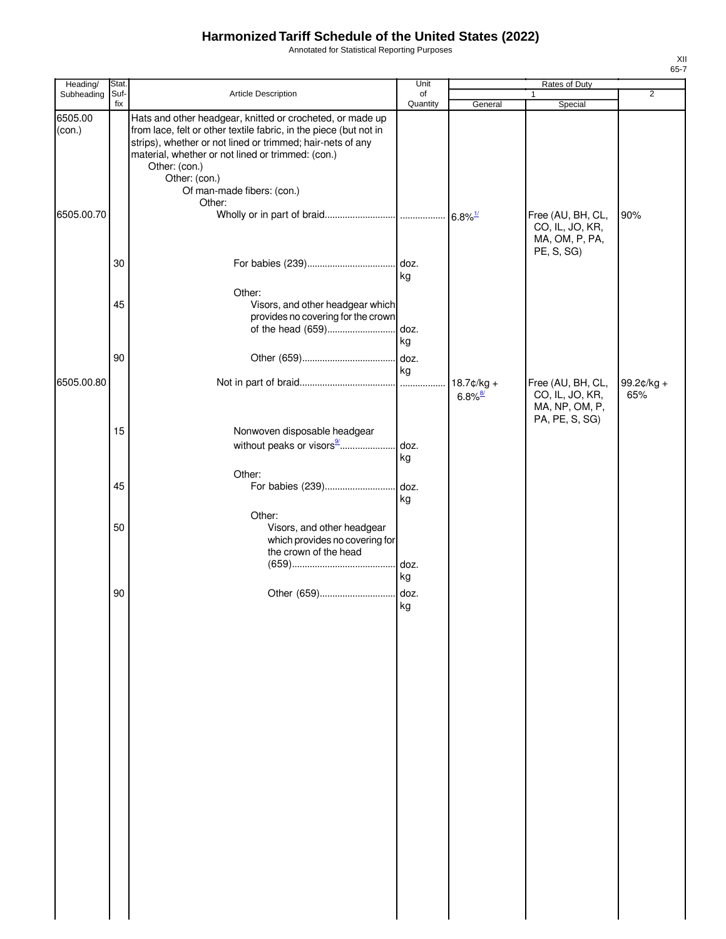Annotated for Statistical Reporting Purposes

| Heading/          | <b>Stat</b> |                                                                                                                                                                                                                                                                                                                   | Unit              | Rates of Duty                          |                                                        |                   |  |
|-------------------|-------------|-------------------------------------------------------------------------------------------------------------------------------------------------------------------------------------------------------------------------------------------------------------------------------------------------------------------|-------------------|----------------------------------------|--------------------------------------------------------|-------------------|--|
| Subheading        | Suf-<br>fix | Article Description                                                                                                                                                                                                                                                                                               | of<br>Quantity    | General                                | 1<br>Special                                           | $\overline{2}$    |  |
| 6505.00<br>(con.) |             | Hats and other headgear, knitted or crocheted, or made up<br>from lace, felt or other textile fabric, in the piece (but not in<br>strips), whether or not lined or trimmed; hair-nets of any<br>material, whether or not lined or trimmed: (con.)<br>Other: (con.)<br>Other: (con.)<br>Of man-made fibers: (con.) |                   |                                        |                                                        |                   |  |
| 6505.00.70        |             | Other:                                                                                                                                                                                                                                                                                                            |                   |                                        | Free (AU, BH, CL,<br>CO, IL, JO, KR,<br>MA, OM, P, PA, | 90%               |  |
|                   | 30          |                                                                                                                                                                                                                                                                                                                   | kg                |                                        | PE, S, SG)                                             |                   |  |
|                   | 45          | Other:<br>Visors, and other headgear which<br>provides no covering for the crown<br>of the head (659)                                                                                                                                                                                                             | doz.<br>kg        |                                        |                                                        |                   |  |
| 6505.00.80        | 90          |                                                                                                                                                                                                                                                                                                                   | . doz.<br>kg<br>. | $18.7$ ¢/kg +<br>$6.8\%$ <sup>8/</sup> | Free (AU, BH, CL,<br>CO, IL, JO, KR,                   | 99.2¢/kg +<br>65% |  |
|                   | 15          | Nonwoven disposable headgear                                                                                                                                                                                                                                                                                      |                   |                                        | MA, NP, OM, P,<br>PA, PE, S, SG)                       |                   |  |
|                   |             | without peaks or visors9<br>Other:                                                                                                                                                                                                                                                                                | . doz.<br>kg      |                                        |                                                        |                   |  |
|                   | 45          | For babies (239)<br>Other:                                                                                                                                                                                                                                                                                        | doz.<br>kg        |                                        |                                                        |                   |  |
|                   | 50          | Visors, and other headgear<br>which provides no covering for<br>the crown of the head                                                                                                                                                                                                                             | doz.<br>kg        |                                        |                                                        |                   |  |
|                   | 90          | Other (659)                                                                                                                                                                                                                                                                                                       | doz.<br>kg        |                                        |                                                        |                   |  |
|                   |             |                                                                                                                                                                                                                                                                                                                   |                   |                                        |                                                        |                   |  |
|                   |             |                                                                                                                                                                                                                                                                                                                   |                   |                                        |                                                        |                   |  |
|                   |             |                                                                                                                                                                                                                                                                                                                   |                   |                                        |                                                        |                   |  |
|                   |             |                                                                                                                                                                                                                                                                                                                   |                   |                                        |                                                        |                   |  |
|                   |             |                                                                                                                                                                                                                                                                                                                   |                   |                                        |                                                        |                   |  |
|                   |             |                                                                                                                                                                                                                                                                                                                   |                   |                                        |                                                        |                   |  |
|                   |             |                                                                                                                                                                                                                                                                                                                   |                   |                                        |                                                        |                   |  |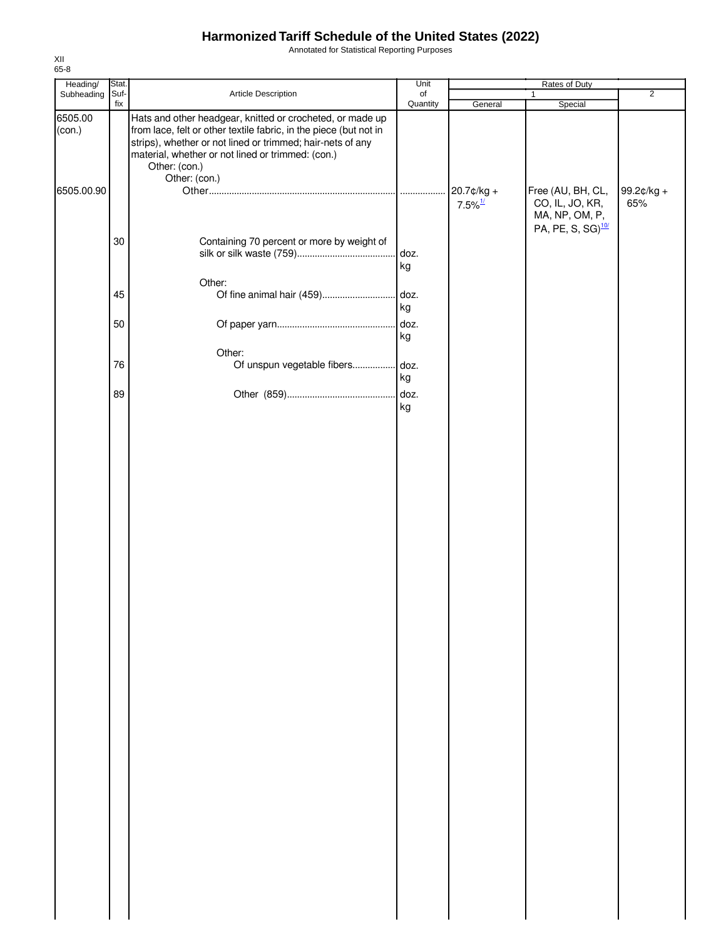Annotated for Statistical Reporting Purposes

| Heading/          | Stat.  |                                                                                                                                                                                                                                                   | Unit       |                       |                                                                    |                |
|-------------------|--------|---------------------------------------------------------------------------------------------------------------------------------------------------------------------------------------------------------------------------------------------------|------------|-----------------------|--------------------------------------------------------------------|----------------|
| Subheading        | Suf-   | Article Description                                                                                                                                                                                                                               | of         |                       | 1                                                                  | $\overline{2}$ |
| 6505.00<br>(con.) | fix    | Hats and other headgear, knitted or crocheted, or made up<br>from lace, felt or other textile fabric, in the piece (but not in<br>strips), whether or not lined or trimmed; hair-nets of any<br>material, whether or not lined or trimmed: (con.) | Quantity   | General               | Special                                                            |                |
| 6505.00.90        |        | Other: (con.)<br>Other: (con.)                                                                                                                                                                                                                    | .          | 20.7¢/kg +            | Free (AU, BH, CL,                                                  | 99.2¢/kg +     |
|                   |        |                                                                                                                                                                                                                                                   |            | $7.5\%$ <sup>1/</sup> | CO, IL, JO, KR,<br>MA, NP, OM, P,<br>PA, PE, S, SG) <sup>10/</sup> | 65%            |
|                   | $30\,$ | Containing 70 percent or more by weight of<br>Other:                                                                                                                                                                                              | doz.<br>kg |                       |                                                                    |                |
|                   | 45     | Of fine animal hair (459)                                                                                                                                                                                                                         | doz.<br>kg |                       |                                                                    |                |
|                   | 50     |                                                                                                                                                                                                                                                   | kg         |                       |                                                                    |                |
|                   | 76     | Other:<br>Of unspun vegetable fibers doz.                                                                                                                                                                                                         | kg         |                       |                                                                    |                |
|                   | 89     |                                                                                                                                                                                                                                                   | doz.<br>kg |                       |                                                                    |                |
|                   |        |                                                                                                                                                                                                                                                   |            |                       |                                                                    |                |
|                   |        |                                                                                                                                                                                                                                                   |            |                       |                                                                    |                |
|                   |        |                                                                                                                                                                                                                                                   |            |                       |                                                                    |                |
|                   |        |                                                                                                                                                                                                                                                   |            |                       |                                                                    |                |
|                   |        |                                                                                                                                                                                                                                                   |            |                       |                                                                    |                |
|                   |        |                                                                                                                                                                                                                                                   |            |                       |                                                                    |                |
|                   |        |                                                                                                                                                                                                                                                   |            |                       |                                                                    |                |
|                   |        |                                                                                                                                                                                                                                                   |            |                       |                                                                    |                |
|                   |        |                                                                                                                                                                                                                                                   |            |                       |                                                                    |                |
|                   |        |                                                                                                                                                                                                                                                   |            |                       |                                                                    |                |
|                   |        |                                                                                                                                                                                                                                                   |            |                       |                                                                    |                |
|                   |        |                                                                                                                                                                                                                                                   |            |                       |                                                                    |                |
|                   |        |                                                                                                                                                                                                                                                   |            |                       |                                                                    |                |
|                   |        |                                                                                                                                                                                                                                                   |            |                       |                                                                    |                |
|                   |        |                                                                                                                                                                                                                                                   |            |                       |                                                                    |                |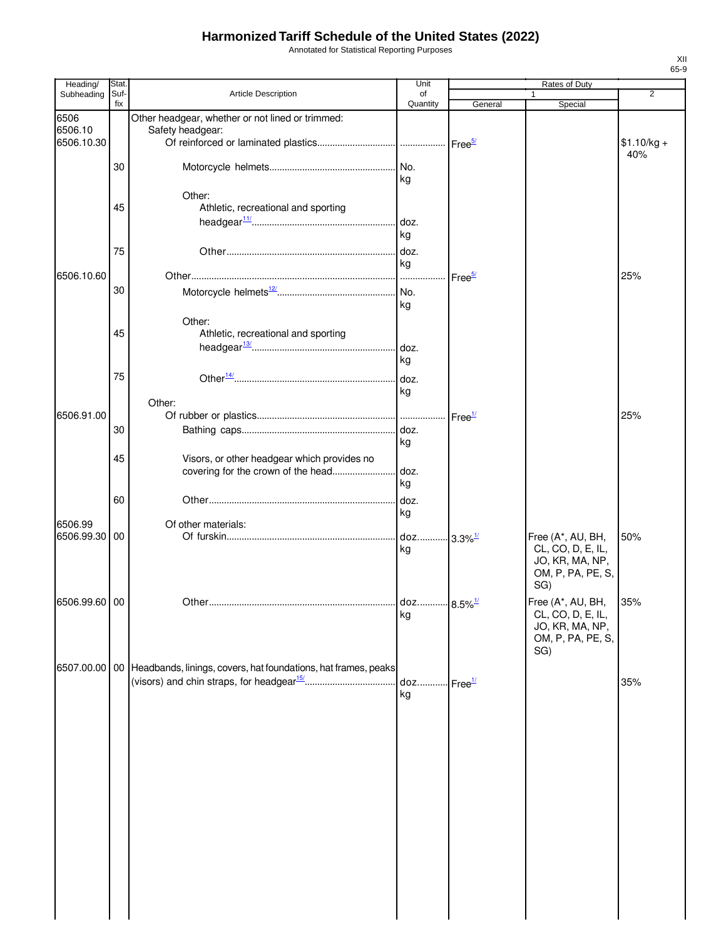Annotated for Statistical Reporting Purposes

| Heading/                      | Stat.       |                                                                                   | Unit                         |                    | Rates of Duty                                                                                |                |
|-------------------------------|-------------|-----------------------------------------------------------------------------------|------------------------------|--------------------|----------------------------------------------------------------------------------------------|----------------|
| Subheading                    | Suf-<br>fix | Article Description                                                               | of<br>Quantity               | General            | 1<br>Special                                                                                 | $\overline{2}$ |
| 6506<br>6506.10<br>6506.10.30 |             | Other headgear, whether or not lined or trimmed:<br>Safety headgear:              |                              |                    |                                                                                              | $$1.10/kg +$   |
|                               | 30          |                                                                                   | kg                           |                    |                                                                                              | 40%            |
|                               | 45          | Other:<br>Athletic, recreational and sporting                                     | kg                           |                    |                                                                                              |                |
|                               | 75          |                                                                                   | doz.<br>kg                   |                    |                                                                                              |                |
| 6506.10.60                    | 30          |                                                                                   | .                            | Free <sup>5/</sup> |                                                                                              | 25%            |
|                               | 45          | Other:<br>Athletic, recreational and sporting                                     | kg<br>doz.<br>kg             |                    |                                                                                              |                |
|                               | 75          |                                                                                   | kg                           |                    |                                                                                              |                |
| 6506.91.00                    | 30          | Other:                                                                            | doz.                         | Free <sup>1/</sup> |                                                                                              | 25%            |
|                               | 45          | Visors, or other headgear which provides no<br>covering for the crown of the head | kg<br>doz.                   |                    |                                                                                              |                |
|                               | 60          |                                                                                   | kg<br>doz.<br>kg             |                    |                                                                                              |                |
| 6506.99<br>6506.99.30         | 00          | Of other materials:                                                               | doz 3.3% <sup>1/</sup><br>kg |                    | Free (A*, AU, BH,<br>CL, CO, D, E, IL,<br>JO, KR, MA, NP,<br>OM, P, PA, PE, S,               | 50%            |
| 6506.99.60 00                 |             |                                                                                   | doz 8.5% <sup>1/</sup><br>kg |                    | SG)<br>Free (A*, AU, BH,<br>CL, CO, D, E, IL,<br>JO, KR, MA, NP,<br>OM, P, PA, PE, S,<br>SG) | 35%            |
|                               |             | 6507.00.00 00 Headbands, linings, covers, hat foundations, hat frames, peaks      | kg                           | Free <sup>1/</sup> |                                                                                              | 35%            |
|                               |             |                                                                                   |                              |                    |                                                                                              |                |
|                               |             |                                                                                   |                              |                    |                                                                                              |                |
|                               |             |                                                                                   |                              |                    |                                                                                              |                |
|                               |             |                                                                                   |                              |                    |                                                                                              |                |
|                               |             |                                                                                   |                              |                    |                                                                                              |                |